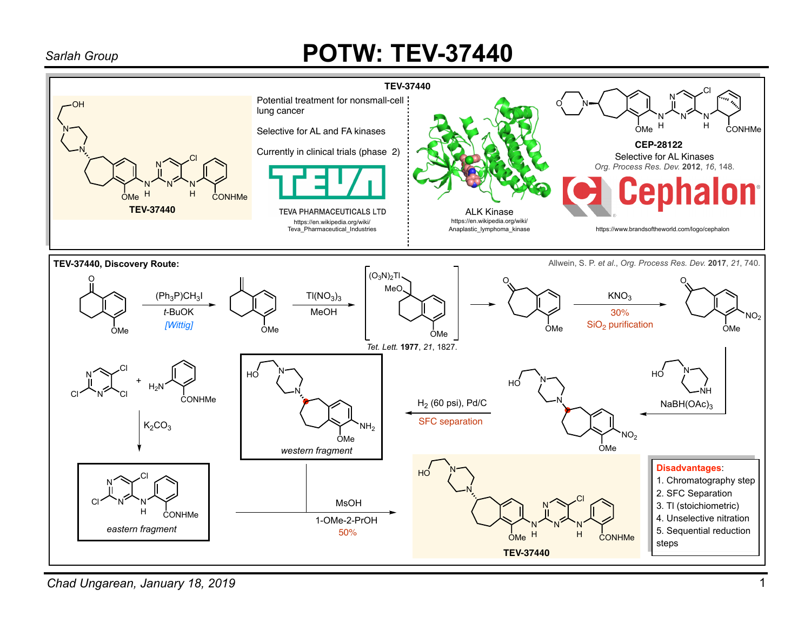## *Sarlah Group* **POTW: TEV-37440**



*Chad Ungarean, January 18, 2019*